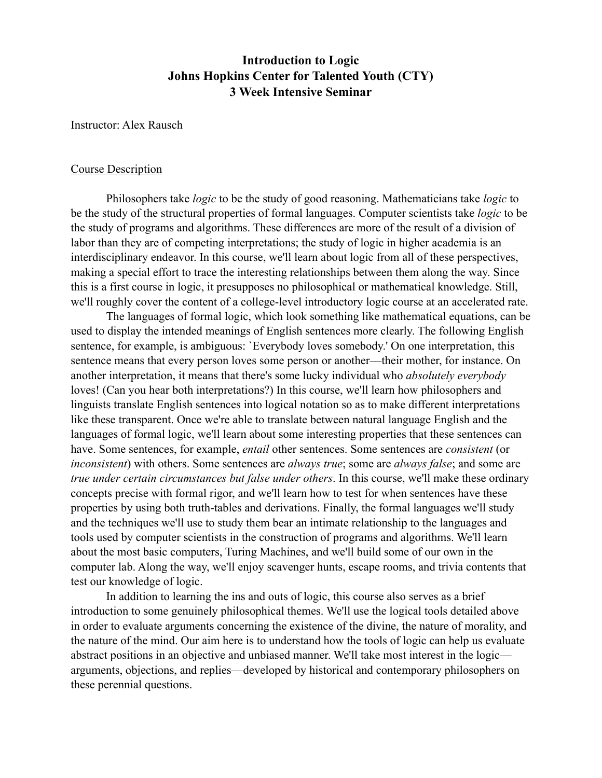# **Introduction to Logic Johns Hopkins Center for Talented Youth (CTY) 3 Week Intensive Seminar**

Instructor: Alex Rausch

#### Course Description

 Philosophers take *logic* to be the study of good reasoning. Mathematicians take *logic* to be the study of the structural properties of formal languages. Computer scientists take *logic* to be the study of programs and algorithms. These differences are more of the result of a division of labor than they are of competing interpretations; the study of logic in higher academia is an interdisciplinary endeavor. In this course, we'll learn about logic from all of these perspectives, making a special effort to trace the interesting relationships between them along the way. Since this is a first course in logic, it presupposes no philosophical or mathematical knowledge. Still, we'll roughly cover the content of a college-level introductory logic course at an accelerated rate.

 The languages of formal logic, which look something like mathematical equations, can be used to display the intended meanings of English sentences more clearly. The following English sentence, for example, is ambiguous: 'Everybody loves somebody.' On one interpretation, this sentence means that every person loves some person or another––their mother, for instance. On another interpretation, it means that there's some lucky individual who *absolutely everybody* loves! (Can you hear both interpretations?) In this course, we'll learn how philosophers and linguists translate English sentences into logical notation so as to make different interpretations like these transparent. Once we're able to translate between natural language English and the languages of formal logic, we'll learn about some interesting properties that these sentences can have. Some sentences, for example, *entail* other sentences. Some sentences are *consistent* (or *inconsistent*) with others. Some sentences are *always true*; some are *always false*; and some are *true under certain circumstances but false under others*. In this course, we'll make these ordinary concepts precise with formal rigor, and we'll learn how to test for when sentences have these properties by using both truth-tables and derivations. Finally, the formal languages we'll study and the techniques we'll use to study them bear an intimate relationship to the languages and tools used by computer scientists in the construction of programs and algorithms. We'll learn about the most basic computers, Turing Machines, and we'll build some of our own in the computer lab. Along the way, we'll enjoy scavenger hunts, escape rooms, and trivia contents that test our knowledge of logic.

 In addition to learning the ins and outs of logic, this course also serves as a brief introduction to some genuinely philosophical themes. We'll use the logical tools detailed above in order to evaluate arguments concerning the existence of the divine, the nature of morality, and the nature of the mind. Our aim here is to understand how the tools of logic can help us evaluate abstract positions in an objective and unbiased manner. We'll take most interest in the logic–– arguments, objections, and replies––developed by historical and contemporary philosophers on these perennial questions.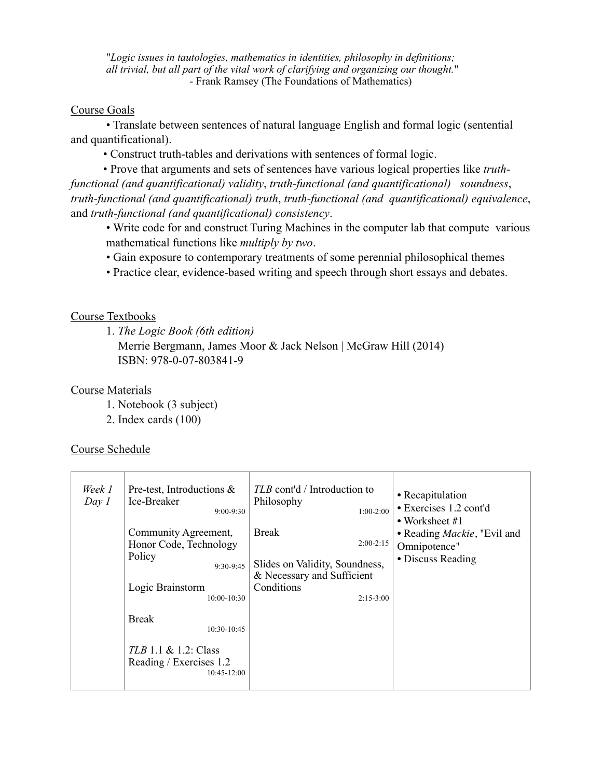"*Logic issues in tautologies, mathematics in identities, philosophy in definitions; all trivial, but all part of the vital work of clarifying and organizing our thought.*" - Frank Ramsey (The Foundations of Mathematics)

#### Course Goals

 • Translate between sentences of natural language English and formal logic (sentential and quantificational).

• Construct truth-tables and derivations with sentences of formal logic.

 • Prove that arguments and sets of sentences have various logical properties like *truthfunctional (and quantificational) validity*, *truth-functional (and quantificational) soundness*, *truth-functional (and quantificational) truth*, *truth-functional (and quantificational) equivalence*, and *truth-functional (and quantificational) consistency*.

 • Write code for and construct Turing Machines in the computer lab that compute various mathematical functions like *multiply by two*.

• Gain exposure to contemporary treatments of some perennial philosophical themes

• Practice clear, evidence-based writing and speech through short essays and debates.

### Course Textbooks

1. *The Logic Book (6th edition)*

 Merrie Bergmann, James Moor & Jack Nelson | McGraw Hill (2014) ISBN: 978-0-07-803841-9

#### Course Materials

- 1. Notebook (3 subject)
- 2. Index cards (100)

## Course Schedule

| Week 1<br>Day 1 | Pre-test, Introductions $\&$<br>Ice-Breaker<br>$9:00 - 9:30$ | TLB cont'd / Introduction to<br>Philosophy<br>$1:00-2:00$ | • Recapitulation<br>• Exercises 1.2 cont'd<br>• Worksheet $#1$ |
|-----------------|--------------------------------------------------------------|-----------------------------------------------------------|----------------------------------------------------------------|
|                 | Community Agreement,                                         | <b>Break</b><br>$2:00-2:15$                               | • Reading <i>Mackie</i> , "Evil and                            |
|                 | Honor Code, Technology<br>Policy                             |                                                           | Omnipotence"                                                   |
|                 | $9:30-9:45$                                                  | Slides on Validity, Soundness,                            | • Discuss Reading                                              |
|                 | Logic Brainstorm                                             | & Necessary and Sufficient<br>Conditions                  |                                                                |
|                 | $10:00 - 10:30$                                              | $2:15-3:00$                                               |                                                                |
|                 | <b>Break</b><br>10:30-10:45<br>$TLB$ 1.1 & 1.2: Class        |                                                           |                                                                |
|                 | Reading / Exercises 1.2<br>$10:45-12:00$                     |                                                           |                                                                |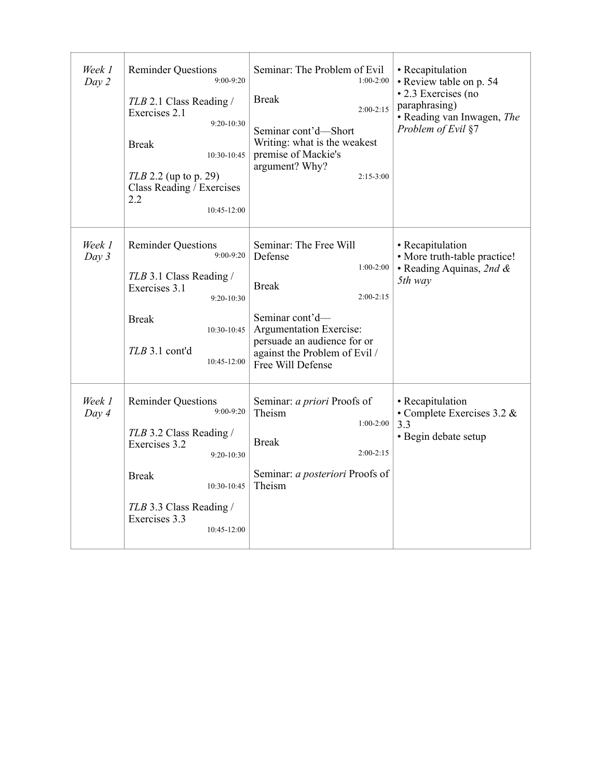| Week 1<br>Day 2 | <b>Reminder Questions</b><br>$9:00 - 9:20$<br>TLB 2.1 Class Reading /<br>Exercises 2.1<br>$9:20 - 10:30$<br><b>Break</b><br>10:30-10:45<br>$TLB$ 2.2 (up to p. 29)<br>Class Reading / Exercises<br>2.2<br>$10:45-12:00$ | Seminar: The Problem of Evil<br>$1:00-2:00$<br><b>Break</b><br>$2:00 - 2:15$<br>Seminar cont'd-Short<br>Writing: what is the weakest<br>premise of Mackie's<br>argument? Why?<br>$2:15-3:00$                       | • Recapitulation<br>• Review table on p. 54<br>• 2.3 Exercises (no<br>paraphrasing)<br>• Reading van Inwagen, The<br>Problem of Evil §7 |
|-----------------|-------------------------------------------------------------------------------------------------------------------------------------------------------------------------------------------------------------------------|--------------------------------------------------------------------------------------------------------------------------------------------------------------------------------------------------------------------|-----------------------------------------------------------------------------------------------------------------------------------------|
| Week 1<br>Day 3 | <b>Reminder Questions</b><br>$9:00 - 9:20$<br>TLB 3.1 Class Reading /<br>Exercises 3.1<br>$9:20 - 10:30$<br><b>Break</b><br>$10:30-10:45$<br>$TLB$ 3.1 cont'd<br>$10:45-12:00$                                          | Seminar: The Free Will<br>Defense<br>$1:00-2:00$<br><b>Break</b><br>$2:00-2:15$<br>Seminar cont'd-<br>Argumentation Exercise:<br>persuade an audience for or<br>against the Problem of Evil /<br>Free Will Defense | • Recapitulation<br>• More truth-table practice!<br>• Reading Aquinas, 2nd &<br>5th way                                                 |
| Week 1<br>Day 4 | <b>Reminder Questions</b><br>$9:00 - 9:20$<br>TLB 3.2 Class Reading /<br>Exercises 3.2<br>$9:20-10:30$<br><b>Break</b><br>10:30-10:45<br>TLB 3.3 Class Reading /<br>Exercises 3.3<br>10:45-12:00                        | Seminar: a priori Proofs of<br>Theism<br>$1:00-2:00$<br><b>Break</b><br>$2:00-2:15$<br>Seminar: a posteriori Proofs of<br>Theism                                                                                   | • Recapitulation<br>• Complete Exercises 3.2 $&$<br>3.3<br>• Begin debate setup                                                         |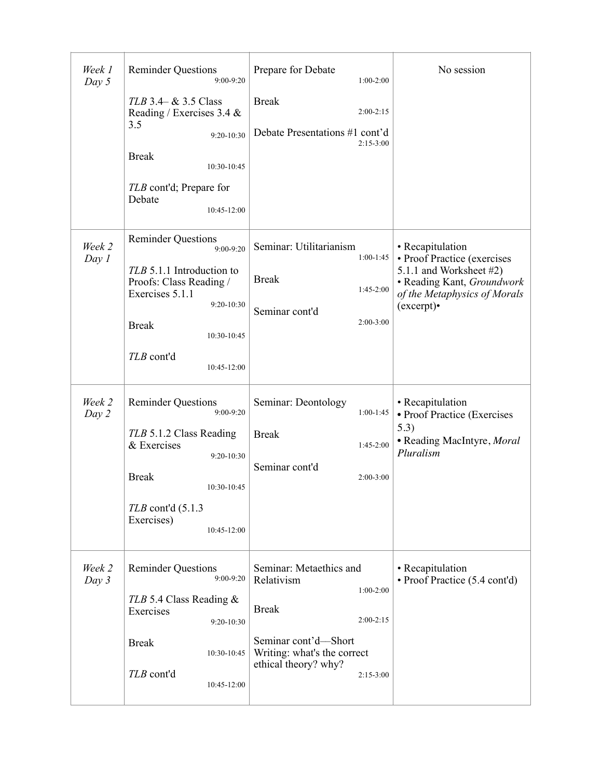| Week 1<br>Day $5$ | <b>Reminder Questions</b><br>9:00-9:20                                                                                                                                                        | Prepare for Debate<br>$1:00-2:00$                                                                                                                                                 | No session                                                                                                                                           |
|-------------------|-----------------------------------------------------------------------------------------------------------------------------------------------------------------------------------------------|-----------------------------------------------------------------------------------------------------------------------------------------------------------------------------------|------------------------------------------------------------------------------------------------------------------------------------------------------|
|                   | $TLB$ 3.4– $&$ 3.5 Class<br>Reading / Exercises 3.4 &<br>3.5<br>$9:20 - 10:30$<br><b>Break</b><br>10:30-10:45<br>TLB cont'd; Prepare for<br>Debate<br>10:45-12:00                             | <b>Break</b><br>$2:00-2:15$<br>Debate Presentations #1 cont'd<br>$2:15-3:00$                                                                                                      |                                                                                                                                                      |
| Week 2<br>Day 1   | <b>Reminder Questions</b><br>9:00-9:20<br>TLB 5.1.1 Introduction to<br>Proofs: Class Reading /<br>Exercises 5.1.1<br>$9:20-10:30$<br><b>Break</b><br>10:30-10:45<br>TLB cont'd<br>10:45-12:00 | Seminar: Utilitarianism<br>$1:00-1:45$<br><b>Break</b><br>$1:45-2:00$<br>Seminar cont'd<br>$2:00-3:00$                                                                            | • Recapitulation<br>• Proof Practice (exercises<br>5.1.1 and Worksheet #2)<br>• Reading Kant, Groundwork<br>of the Metaphysics of Morals<br>(except) |
| Week 2<br>Day 2   | <b>Reminder Questions</b><br>$9:00 - 9:20$<br>TLB 5.1.2 Class Reading<br>& Exercises<br>$9:20 - 10:30$<br><b>Break</b><br>10:30-10:45<br>$TLB$ cont'd $(5.1.3)$<br>Exercises)<br>10:45-12:00  | Seminar: Deontology<br>$1:00-1:45$<br><b>Break</b><br>$1:45-2:00$<br>Seminar cont'd<br>2:00-3:00                                                                                  | • Recapitulation<br>• Proof Practice (Exercises<br>5.3)<br>• Reading MacIntyre, Moral<br>Pluralism                                                   |
| Week 2<br>Day 3   | <b>Reminder Questions</b><br>$9:00-9:20$<br>TLB 5.4 Class Reading &<br>Exercises<br>9:20-10:30<br><b>Break</b><br>10:30-10:45<br>TLB cont'd<br>10:45-12:00                                    | Seminar: Metaethics and<br>Relativism<br>$1:00-2:00$<br><b>Break</b><br>$2:00-2:15$<br>Seminar cont'd-Short<br>Writing: what's the correct<br>ethical theory? why?<br>$2:15-3:00$ | • Recapitulation<br>• Proof Practice (5.4 cont'd)                                                                                                    |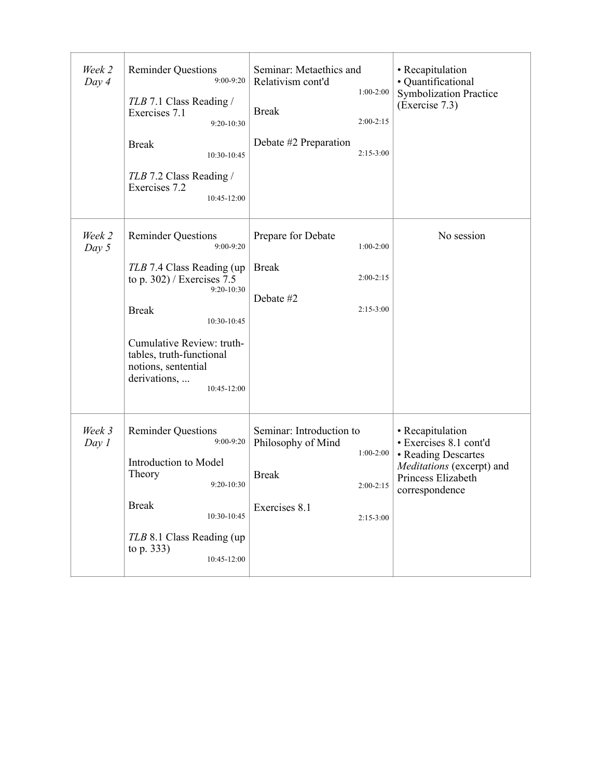| Week 2<br>Day 4 | <b>Reminder Questions</b><br>$9:00 - 9:20$<br>TLB 7.1 Class Reading /<br>Exercises 7.1<br>$9:20 - 10:30$<br><b>Break</b><br>10:30-10:45<br>TLB 7.2 Class Reading /<br>Exercises 7.2<br>10:45-12:00                                                                        | Seminar: Metaethics and<br>Relativism cont'd<br>$1:00-2:00$<br><b>Break</b><br>$2:00-2:15$<br>Debate #2 Preparation<br>$2:15-3:00$ | • Recapitulation<br>· Quantificational<br><b>Symbolization Practice</b><br>(Exercise 7.3)                                              |
|-----------------|---------------------------------------------------------------------------------------------------------------------------------------------------------------------------------------------------------------------------------------------------------------------------|------------------------------------------------------------------------------------------------------------------------------------|----------------------------------------------------------------------------------------------------------------------------------------|
| Week 2<br>Day 5 | <b>Reminder Questions</b><br>$9:00 - 9:20$<br>TLB 7.4 Class Reading (up)<br>to p. $302$ ) / Exercises 7.5<br>$9:20 - 10:30$<br><b>Break</b><br>10:30-10:45<br>Cumulative Review: truth-<br>tables, truth-functional<br>notions, sentential<br>derivations,<br>10:45-12:00 | Prepare for Debate<br>$1:00-2:00$<br><b>Break</b><br>$2:00-2:15$<br>Debate #2<br>$2:15-3:00$                                       | No session                                                                                                                             |
| Week 3<br>Day 1 | <b>Reminder Questions</b><br>9:00-9:20<br>Introduction to Model<br>Theory<br>9:20-10:30<br><b>Break</b><br>10:30-10:45<br>TLB 8.1 Class Reading (up)<br>to p. 333)<br>10:45-12:00                                                                                         | Seminar: Introduction to<br>Philosophy of Mind<br>$1:00-2:00$<br><b>Break</b><br>$2:00-2:15$<br>Exercises 8.1<br>$2:15-3:00$       | • Recapitulation<br>· Exercises 8.1 cont'd<br>• Reading Descartes<br>Meditations (excerpt) and<br>Princess Elizabeth<br>correspondence |